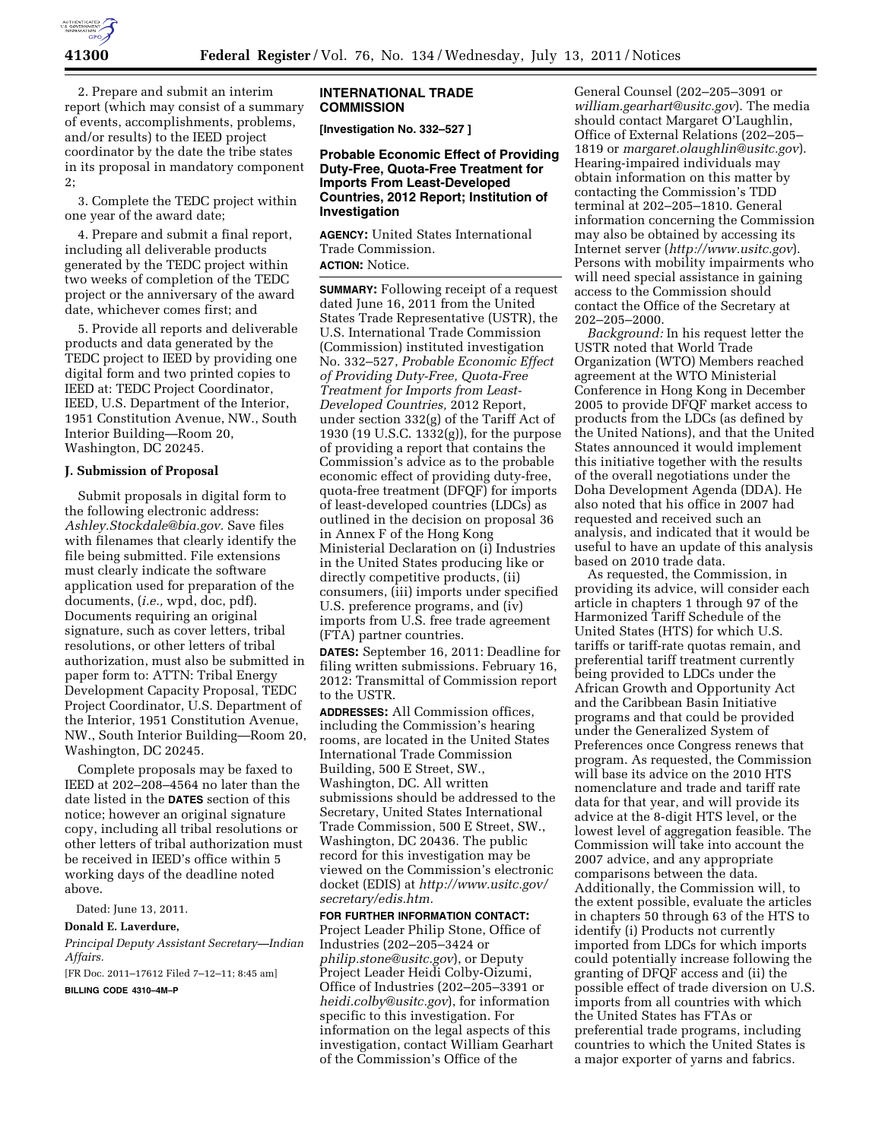

2. Prepare and submit an interim report (which may consist of a summary of events, accomplishments, problems, and/or results) to the IEED project coordinator by the date the tribe states in its proposal in mandatory component 2;

3. Complete the TEDC project within one year of the award date;

4. Prepare and submit a final report, including all deliverable products generated by the TEDC project within two weeks of completion of the TEDC project or the anniversary of the award date, whichever comes first; and

5. Provide all reports and deliverable products and data generated by the TEDC project to IEED by providing one digital form and two printed copies to IEED at: TEDC Project Coordinator, IEED, U.S. Department of the Interior, 1951 Constitution Avenue, NW., South Interior Building—Room 20, Washington, DC 20245.

### **J. Submission of Proposal**

Submit proposals in digital form to the following electronic address: *[Ashley.Stockdale@bia.gov.](mailto:Ashley.Stockdale@bia.gov)* Save files with filenames that clearly identify the file being submitted. File extensions must clearly indicate the software application used for preparation of the documents, (*i.e.,* wpd, doc, pdf). Documents requiring an original signature, such as cover letters, tribal resolutions, or other letters of tribal authorization, must also be submitted in paper form to: ATTN: Tribal Energy Development Capacity Proposal, TEDC Project Coordinator, U.S. Department of the Interior, 1951 Constitution Avenue, NW., South Interior Building—Room 20, Washington, DC 20245.

Complete proposals may be faxed to IEED at 202–208–4564 no later than the date listed in the **DATES** section of this notice; however an original signature copy, including all tribal resolutions or other letters of tribal authorization must be received in IEED's office within 5 working days of the deadline noted above.

Dated: June 13, 2011.

# **Donald E. Laverdure,**

*Principal Deputy Assistant Secretary—Indian Affairs.* 

[FR Doc. 2011–17612 Filed 7–12–11; 8:45 am]

**BILLING CODE 4310–4M–P** 

#### **INTERNATIONAL TRADE COMMISSION**

**[Investigation No. 332–527 ]** 

## **Probable Economic Effect of Providing Duty-Free, Quota-Free Treatment for Imports From Least-Developed Countries, 2012 Report; Institution of Investigation**

**AGENCY:** United States International Trade Commission. **ACTION:** Notice.

**SUMMARY:** Following receipt of a request dated June 16, 2011 from the United States Trade Representative (USTR), the U.S. International Trade Commission (Commission) instituted investigation No. 332–527, *Probable Economic Effect of Providing Duty-Free, Quota-Free Treatment for Imports from Least-Developed Countries,* 2012 Report, under section 332(g) of the Tariff Act of 1930 (19 U.S.C. 1332(g)), for the purpose of providing a report that contains the Commission's advice as to the probable economic effect of providing duty-free, quota-free treatment (DFQF) for imports of least-developed countries (LDCs) as outlined in the decision on proposal 36 in Annex F of the Hong Kong Ministerial Declaration on (i) Industries in the United States producing like or directly competitive products, (ii) consumers, (iii) imports under specified U.S. preference programs, and (iv) imports from U.S. free trade agreement (FTA) partner countries.

**DATES:** September 16, 2011: Deadline for filing written submissions. February 16, 2012: Transmittal of Commission report to the USTR.

**ADDRESSES:** All Commission offices, including the Commission's hearing rooms, are located in the United States International Trade Commission Building, 500 E Street, SW., Washington, DC. All written submissions should be addressed to the Secretary, United States International Trade Commission, 500 E Street, SW., Washington, DC 20436. The public record for this investigation may be viewed on the Commission's electronic docket (EDIS) at *[http://www.usitc.gov/](http://www.usitc.gov/secretary/edis.htm) [secretary/edis.htm.](http://www.usitc.gov/secretary/edis.htm)* 

**FOR FURTHER INFORMATION CONTACT:**  Project Leader Philip Stone, Office of Industries (202–205–3424 or *[philip.stone@usitc.gov](mailto:philip.stone@usitc.gov)*), or Deputy Project Leader Heidi Colby-Oizumi, Office of Industries (202–205–3391 or *[heidi.colby@usitc.gov](mailto:heidi.colby@usitc.gov)*), for information specific to this investigation. For information on the legal aspects of this investigation, contact William Gearhart of the Commission's Office of the

General Counsel (202–205–3091 or *[william.gearhart@usitc.gov](mailto:william.gearhart@usitc.gov)*). The media should contact Margaret O'Laughlin, Office of External Relations (202–205– 1819 or *[margaret.olaughlin@usitc.gov](mailto:margaret.olaughlin@usitc.gov)*). Hearing-impaired individuals may obtain information on this matter by contacting the Commission's TDD terminal at 202–205–1810. General information concerning the Commission may also be obtained by accessing its Internet server (*<http://www.usitc.gov>*). Persons with mobility impairments who will need special assistance in gaining access to the Commission should contact the Office of the Secretary at 202–205–2000.

*Background:* In his request letter the USTR noted that World Trade Organization (WTO) Members reached agreement at the WTO Ministerial Conference in Hong Kong in December 2005 to provide DFQF market access to products from the LDCs (as defined by the United Nations), and that the United States announced it would implement this initiative together with the results of the overall negotiations under the Doha Development Agenda (DDA). He also noted that his office in 2007 had requested and received such an analysis, and indicated that it would be useful to have an update of this analysis based on 2010 trade data.

As requested, the Commission, in providing its advice, will consider each article in chapters 1 through 97 of the Harmonized Tariff Schedule of the United States (HTS) for which U.S. tariffs or tariff-rate quotas remain, and preferential tariff treatment currently being provided to LDCs under the African Growth and Opportunity Act and the Caribbean Basin Initiative programs and that could be provided under the Generalized System of Preferences once Congress renews that program. As requested, the Commission will base its advice on the 2010 HTS nomenclature and trade and tariff rate data for that year, and will provide its advice at the 8-digit HTS level, or the lowest level of aggregation feasible. The Commission will take into account the 2007 advice, and any appropriate comparisons between the data. Additionally, the Commission will, to the extent possible, evaluate the articles in chapters 50 through 63 of the HTS to identify (i) Products not currently imported from LDCs for which imports could potentially increase following the granting of DFQF access and (ii) the possible effect of trade diversion on U.S. imports from all countries with which the United States has FTAs or preferential trade programs, including countries to which the United States is a major exporter of yarns and fabrics.